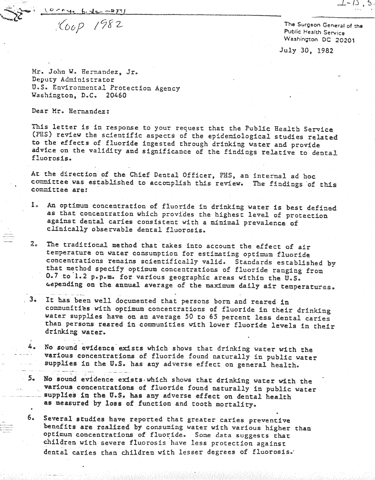$(0,0,0,0,0,0)$  - 274/

 $160p 1982$ 

The Surgeon General of the Public: Health Service Washington DC 20201

July 3D. 1982

Mr. John W. Hernandez, Jr. Deputy Administrator U.S. Environmental Protection Agency Washington, D.C. 20460

Dear Mr. Hernandez:

**,oo- ,,, .** This letter is in response to your request that the Public Health Service (PHS) review the scientific aspects of the epidemiological studies related to the effects of fluoride ingested through drinking vater and provide advice on the validity and significance of the findings relative to dental fluorosis .•

At the direction of the Chief Dental Officer, PHS, an internal ad hoc committee was established to accomplish this review. The findings of this committee are:

- 1. An optimum concentration of fluoride in drinking water is best defined as that concentration vhich provides the highest level of protection against dental caries consistent with a minimal prevalence of clinically observable dental fluorosis.
- 2. The traditional method that takes into account the effect of air temperature on water consumption for estimating optimum fluoride concentrations remains scientifically valid. Standards established by that method specify optimum concentrations of fluoride ranging from 0.7 to l.2 p.p.m. for various geographic areas within the U.S. ~epend1ng on the annual average of the maximum daily air temperatures.
- 3. It has been well documented that persons born and reared in communities with optimum concentrations of fluoride in their drinking water supplies have on an average 50 to 65 percent less dental caries than persons reared in communities with lower fluoride levels in their drinking water.
- 4. No sound evidence exists which shows that drinking water with the various concentrations of fluoride found naturally in public water supplies in the U.S. has any adverse effect on general health. -"-- -~-\_ .
- 5. No sound evidence exists which shows that drinking water with the various concentrations of fluoride found naturally in public water. supplies in the U.S. has any adverse effect on dental health as measured by loss of function and tooth mortality.
	- 6. Several studies have reported that greater caries preventive benefits are realized by consuming water vith various higher than optimum concentrations of fluoride. Some data suggests that children with severe fluorosis have less protection against dental caries than children with lesser degrees of fluorosis.